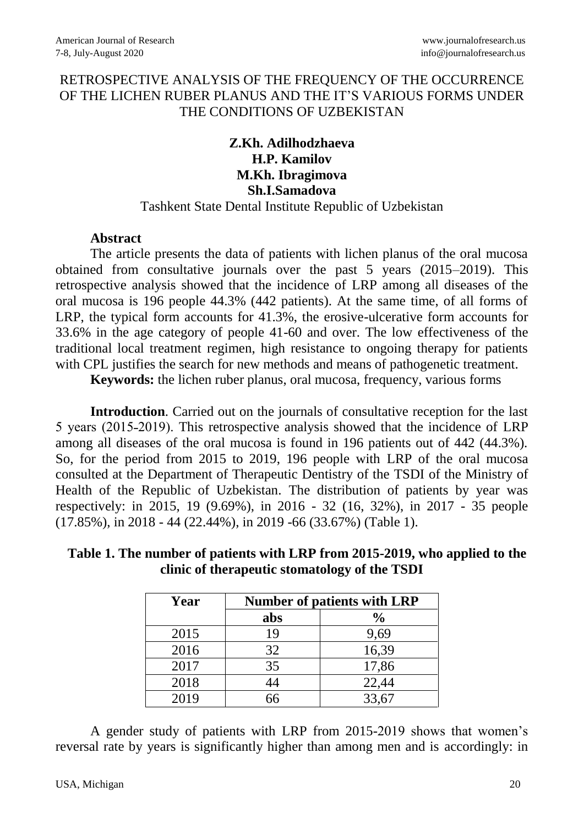## RETROSPECTIVE ANALYSIS OF THE FREQUENCY OF THE OCCURRENCE OF THE LICHEN RUBER PLANUS AND THE IT'S VARIOUS FORMS UNDER THE CONDITIONS OF UZBEKISTAN

## **Z.Kh. Adilhodzhaeva H.P. Kamilov M.Kh. Ibragimova Sh.I.Samadova** Tashkent State Dental Institute Republic of Uzbekistan

## **Abstract**

The article presents the data of patients with lichen planus of the oral mucosa obtained from consultative journals over the past 5 years (2015–2019). This retrospective analysis showed that the incidence of LRP among all diseases of the oral mucosa is 196 people 44.3% (442 patients). At the same time, of all forms of LRP, the typical form accounts for 41.3%, the erosive-ulcerative form accounts for 33.6% in the age category of people 41-60 and over. The low effectiveness of the traditional local treatment regimen, high resistance to ongoing therapy for patients with CPL justifies the search for new methods and means of pathogenetic treatment.

**Keywords:** the lichen ruber planus, oral mucosa, frequency, various forms

**Introduction**. Carried out on the journals of consultative reception for the last 5 years (2015-2019). This retrospective analysis showed that the incidence of LRP among all diseases of the oral mucosa is found in 196 patients out of 442 (44.3%). So, for the period from 2015 to 2019, 196 people with LRP of the oral mucosa consulted at the Department of Therapeutic Dentistry of the TSDI of the Ministry of Health of the Republic of Uzbekistan. The distribution of patients by year was respectively: in 2015, 19 (9.69%), in 2016 - 32 (16, 32%), in 2017 - 35 people (17.85%), in 2018 - 44 (22.44%), in 2019 -66 (33.67%) (Table 1).

 **Table 1. The number of patients with LRP from 2015-2019, who applied to the clinic of therapeutic stomatology of the TSDI**

| Year | <b>Number of patients with LRP</b> |               |  |  |  |
|------|------------------------------------|---------------|--|--|--|
|      | abs                                | $\frac{0}{0}$ |  |  |  |
| 2015 | 19                                 | 9,69          |  |  |  |
| 2016 | 32                                 | 16,39         |  |  |  |
| 2017 | 35                                 | 17,86         |  |  |  |
| 2018 | 44                                 | 22,44         |  |  |  |
| 2019 | 66                                 | 33,67         |  |  |  |

A gender study of patients with LRP from 2015-2019 shows that women's reversal rate by years is significantly higher than among men and is accordingly: in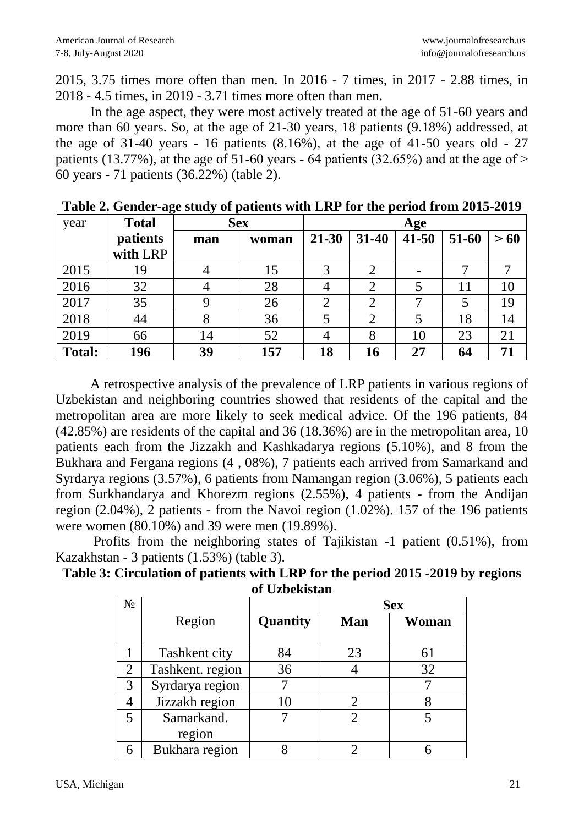2015, 3.75 times more often than men. In 2016 - 7 times, in 2017 - 2.88 times, in 2018 - 4.5 times, in 2019 - 3.71 times more often than men.

In the age aspect, they were most actively treated at the age of 51-60 years and more than 60 years. So, at the age of 21-30 years, 18 patients (9.18%) addressed, at the age of 31-40 years - 16 patients  $(8.16\%)$ , at the age of 41-50 years old - 27 patients (13.77%), at the age of 51-60 years - 64 patients (32.65%) and at the age of  $>$ 60 years - 71 patients (36.22%) (table 2).

| year          | <b>Total</b> | <b>Sex</b> |       | Age       |                |           |       |     |
|---------------|--------------|------------|-------|-----------|----------------|-----------|-------|-----|
|               | patients     | man        | woman | $21 - 30$ | $31 - 40$      | $41 - 50$ | 51-60 | >60 |
|               | with LRP     |            |       |           |                |           |       |     |
| 2015          | 19           |            | 15    | 3         | 2              |           |       |     |
| 2016          | 32           |            | 28    | 4         | 2              |           | 11    | 10  |
| 2017          | 35           |            | 26    | C         | $\overline{2}$ |           |       | 19  |
| 2018          | 44           |            | 36    |           | $\overline{2}$ |           | 18    | 14  |
| 2019          | 66           | 14         | 52    |           | 8              | 10        | 23    | 21  |
| <b>Total:</b> | 196          | 39         | 157   | 18        | 16             | 27        | 64    | 71  |

**Table 2. Gender-age study of patients with LRP for the period from 2015-2019**

A retrospective analysis of the prevalence of LRP patients in various regions of Uzbekistan and neighboring countries showed that residents of the capital and the metropolitan area are more likely to seek medical advice. Of the 196 patients, 84 (42.85%) are residents of the capital and 36 (18.36%) are in the metropolitan area, 10 patients each from the Jizzakh and Kashkadarya regions (5.10%), and 8 from the Bukhara and Fergana regions (4 , 08%), 7 patients each arrived from Samarkand and Syrdarya regions (3.57%), 6 patients from Namangan region (3.06%), 5 patients each from Surkhandarya and Khorezm regions (2.55%), 4 patients - from the Andijan region (2.04%), 2 patients - from the Navoi region (1.02%). 157 of the 196 patients were women (80.10%) and 39 were men (19.89%).

Profits from the neighboring states of Tajikistan -1 patient (0.51%), from Kazakhstan - 3 patients (1.53%) (table 3).

| Table 3: Circulation of patients with LRP for the period 2015 -2019 by regions |
|--------------------------------------------------------------------------------|
| of Uzbekistan                                                                  |

| $N_2$          |                  |          |            | <b>Sex</b> |
|----------------|------------------|----------|------------|------------|
|                | Region           | Quantity | <b>Man</b> | Woman      |
|                |                  |          |            |            |
|                | Tashkent city    | 84       | 23         | 61         |
| $\overline{2}$ | Tashkent. region | 36       |            | 32         |
| 3              | Syrdarya region  |          |            |            |
|                | Jizzakh region   | 10       |            |            |
| 5              | Samarkand.       |          |            |            |
|                | region           |          |            |            |
|                | Bukhara region   |          |            |            |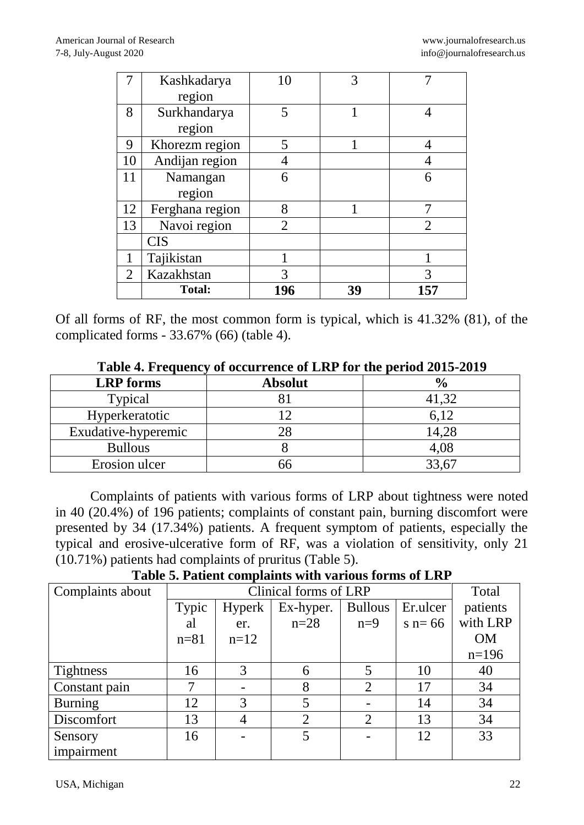|                | Kashkadarya     | 10             | 3  |                             |
|----------------|-----------------|----------------|----|-----------------------------|
|                | region          |                |    |                             |
| 8              | Surkhandarya    | 5              |    |                             |
|                | region          |                |    |                             |
| 9              | Khorezm region  | 5              |    |                             |
| 10             | Andijan region  |                |    |                             |
| 11             | Namangan        | 6              |    | 6                           |
|                | region          |                |    |                             |
| 12             | Ferghana region | 8              |    |                             |
| 13             | Navoi region    | $\overline{2}$ |    | $\mathcal{D}_{\mathcal{L}}$ |
|                | <b>CIS</b>      |                |    |                             |
|                | Tajikistan      |                |    |                             |
| $\overline{2}$ | Kazakhstan      | 3              |    | 3                           |
|                | <b>Total:</b>   | 196            | 39 | 157                         |

Of all forms of RF, the most common form is typical, which is 41.32% (81), of the complicated forms - 33.67% (66) (table 4).

| Table <b>7.</b> Prequency of occurrence of ERT for the period 2013-2017 |                |               |  |  |  |  |  |
|-------------------------------------------------------------------------|----------------|---------------|--|--|--|--|--|
| <b>LRP</b> forms                                                        | <b>Absolut</b> | $\frac{6}{9}$ |  |  |  |  |  |
| Typical                                                                 |                | 41,32         |  |  |  |  |  |
| Hyperkeratotic                                                          |                | 6.12          |  |  |  |  |  |
| Exudative-hyperemic                                                     |                | 14,28         |  |  |  |  |  |
| <b>Bullous</b>                                                          |                | 4,08          |  |  |  |  |  |
| Erosion ulcer                                                           |                | 33,67         |  |  |  |  |  |

**Тable 4. Frequency of occurrence of LRP for the period 2015-2019**

Complaints of patients with various forms of LRP about tightness were noted in 40 (20.4%) of 196 patients; complaints of constant pain, burning discomfort were presented by 34 (17.34%) patients. A frequent symptom of patients, especially the typical and erosive-ulcerative form of RF, was a violation of sensitivity, only 21 (10.71%) patients had complaints of pruritus (Table 5).

**Table 5. Patient complaints with various forms of LRP**

| Complaints about |          |        | Clinical forms of LRP |                             |           | Total     |
|------------------|----------|--------|-----------------------|-----------------------------|-----------|-----------|
|                  | Typic    | Hyperk | Ex-hyper.             | <b>Bullous</b>              | Er.ulcer  | patients  |
|                  | al       | er.    | $n=28$                | $n=9$                       | $s$ n= 66 | with LRP  |
|                  | $n = 81$ | $n=12$ |                       |                             |           | <b>OM</b> |
|                  |          |        |                       |                             |           | $n=196$   |
| <b>Tightness</b> | 16       |        | 6                     | 5                           | 10        | 40        |
| Constant pain    |          |        | 8                     | $\mathcal{D}_{\mathcal{L}}$ | 17        | 34        |
| <b>Burning</b>   | 12       | 3      | 5                     |                             | 14        | 34        |
| Discomfort       | 13       | 4      | $\overline{2}$        | $\overline{2}$              | 13        | 34        |
| Sensory          | 16       |        | 5                     |                             | 12        | 33        |
| impairment       |          |        |                       |                             |           |           |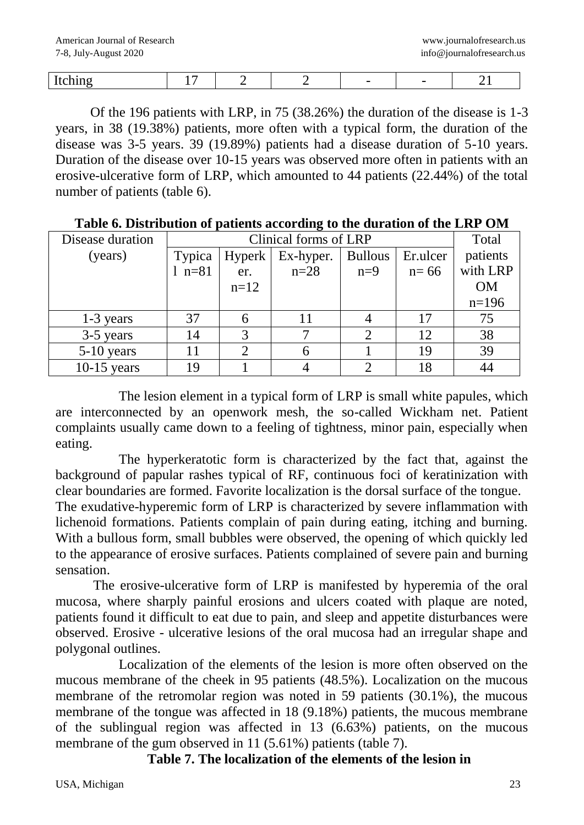| -- |  |  |  |  |
|----|--|--|--|--|
|    |  |  |  |  |

Of the 196 patients with LRP, in 75 (38.26%) the duration of the disease is 1-3 years, in 38 (19.38%) patients, more often with a typical form, the duration of the disease was 3-5 years. 39 (19.89%) patients had a disease duration of 5-10 years. Duration of the disease over 10-15 years was observed more often in patients with an erosive-ulcerative form of LRP, which amounted to 44 patients (22.44%) of the total number of patients (table 6).

| Disease duration |          | Clinical forms of LRP |           |                |          |           |  |
|------------------|----------|-----------------------|-----------|----------------|----------|-----------|--|
| (years)          | Typica   | Hyperk                | Ex-hyper. | <b>Bullous</b> | Er.ulcer | patients  |  |
|                  | $1 n=81$ | er.                   | $n=28$    | $n=9$          | $n=66$   | with LRP  |  |
|                  |          | $n=12$                |           |                |          | <b>OM</b> |  |
|                  |          |                       |           |                |          | $n=196$   |  |
| $1-3$ years      | 37       |                       |           |                | 17       | 75        |  |
| 3-5 years        | 14       |                       |           |                | 12       | 38        |  |
| $5-10$ years     | 11       |                       | 6         |                | 19       | 39        |  |
| $10-15$ years    | 19       |                       |           | ◠              | 18       |           |  |

**Table 6. Distribution of patients according to the duration of the LRP OM**

The lesion element in a typical form of LRP is small white papules, which are interconnected by an openwork mesh, the so-called Wickham net. Patient complaints usually came down to a feeling of tightness, minor pain, especially when eating.

The hyperkeratotic form is characterized by the fact that, against the background of papular rashes typical of RF, continuous foci of keratinization with clear boundaries are formed. Favorite localization is the dorsal surface of the tongue.

The exudative-hyperemic form of LRP is characterized by severe inflammation with lichenoid formations. Patients complain of pain during eating, itching and burning. With a bullous form, small bubbles were observed, the opening of which quickly led to the appearance of erosive surfaces. Patients complained of severe pain and burning sensation.

 The erosive-ulcerative form of LRP is manifested by hyperemia of the oral mucosa, where sharply painful erosions and ulcers coated with plaque are noted, patients found it difficult to eat due to pain, and sleep and appetite disturbances were observed. Erosive - ulcerative lesions of the oral mucosa had an irregular shape and polygonal outlines.

Localization of the elements of the lesion is more often observed on the mucous membrane of the cheek in 95 patients (48.5%). Localization on the mucous membrane of the retromolar region was noted in 59 patients (30.1%), the mucous membrane of the tongue was affected in 18 (9.18%) patients, the mucous membrane of the sublingual region was affected in 13 (6.63%) patients, on the mucous membrane of the gum observed in 11 (5.61%) patients (table 7).

**Table 7. The localization of the elements of the lesion in**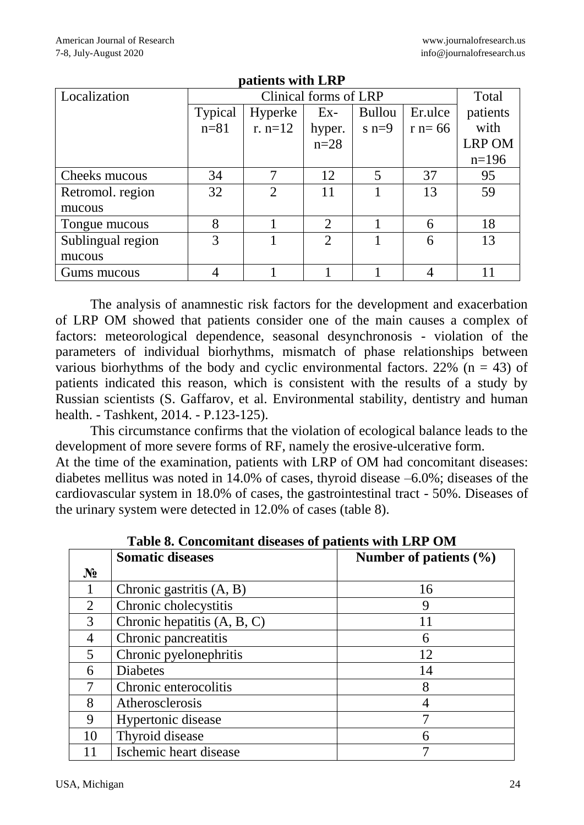| paulino with Era  |          |                       |        |               |          |               |
|-------------------|----------|-----------------------|--------|---------------|----------|---------------|
| Localization      |          | Clinical forms of LRP |        |               |          |               |
|                   | Typical  | Hyperke               | $Ex-$  | <b>Bullou</b> | Er.ulce  | patients      |
|                   | $n = 81$ | $r. n=12$             | hyper. | $s$ n=9       | $r = 66$ | with          |
|                   |          |                       | $n=28$ |               |          | <b>LRP OM</b> |
|                   |          |                       |        |               |          | $n=196$       |
| Cheeks mucous     | 34       | 7                     | 12     | 5             | 37       | 95            |
| Retromol. region  | 32       | $\overline{2}$        | 11     |               | 13       | 59            |
| mucous            |          |                       |        |               |          |               |
| Tongue mucous     | 8        |                       | 2      |               | 6        | 18            |
| Sublingual region | 3        |                       | 2      |               | 6        | 13            |
| mucous            |          |                       |        |               |          |               |
| Gums mucous       |          |                       |        |               |          |               |

**patients with LRP**

The analysis of anamnestic risk factors for the development and exacerbation of LRP OM showed that patients consider one of the main causes a complex of factors: meteorological dependence, seasonal desynchronosis - violation of the parameters of individual biorhythms, mismatch of phase relationships between various biorhythms of the body and cyclic environmental factors. 22% ( $n = 43$ ) of patients indicated this reason, which is consistent with the results of a study by Russian scientists (S. Gaffarov, et al. Environmental stability, dentistry and human health. - Tashkent, 2014. - P.123-125).

This circumstance confirms that the violation of ecological balance leads to the development of more severe forms of RF, namely the erosive-ulcerative form. At the time of the examination, patients with LRP of OM had concomitant diseases: diabetes mellitus was noted in 14.0% of cases, thyroid disease –6.0%; diseases of the

cardiovascular system in 18.0% of cases, the gastrointestinal tract - 50%. Diseases of the urinary system were detected in 12.0% of cases (table 8).

|                | <b>Somatic diseases</b>     | Number of patients $(\% )$ |
|----------------|-----------------------------|----------------------------|
| $N_2$          |                             |                            |
|                | Chronic gastritis $(A, B)$  | 16                         |
| $\overline{2}$ | Chronic cholecystitis       | 9                          |
| 3              | Chronic hepatitis (A, B, C) | 11                         |
| $\overline{4}$ | Chronic pancreatitis        | 6                          |
| 5              | Chronic pyelonephritis      | 12                         |
| 6              | <b>Diabetes</b>             | 14                         |
|                | Chronic enterocolitis       | 8                          |
| 8              | Atherosclerosis             |                            |
| 9              | Hypertonic disease          |                            |
| 10             | Thyroid disease             |                            |
|                | Ischemic heart disease      |                            |

**Table 8. Concomitant diseases of patients with LRP OM**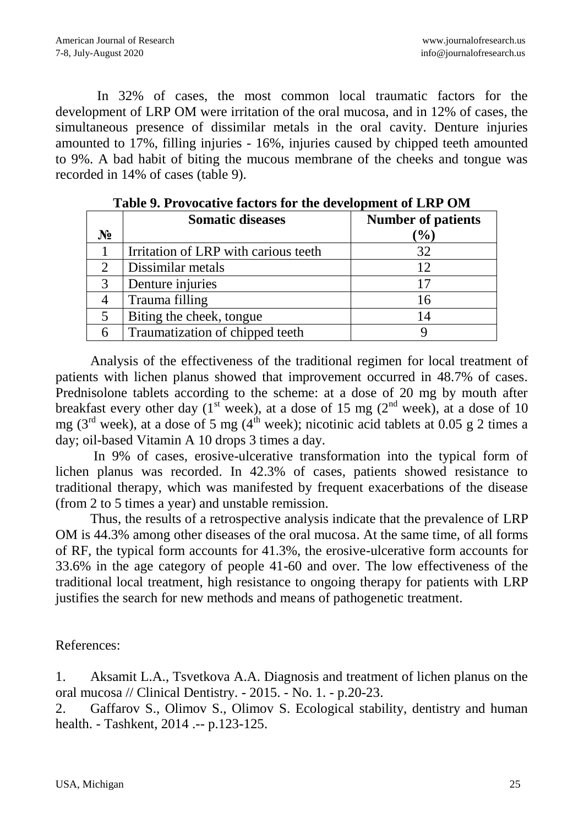In 32% of cases, the most common local traumatic factors for the development of LRP OM were irritation of the oral mucosa, and in 12% of cases, the simultaneous presence of dissimilar metals in the oral cavity. Denture injuries amounted to 17%, filling injuries - 16%, injuries caused by chipped teeth amounted to 9%. A bad habit of biting the mucous membrane of the cheeks and tongue was recorded in 14% of cases (table 9).

|       | <b>Somatic diseases</b>              | <b>Number of patients</b> |
|-------|--------------------------------------|---------------------------|
| $N_2$ |                                      | $(\%)$                    |
|       | Irritation of LRP with carious teeth | 32                        |
|       | Dissimilar metals                    | 12                        |
|       | Denture injuries                     |                           |
|       | Trauma filling                       | 16                        |
|       | Biting the cheek, tongue             | 14                        |
|       | Traumatization of chipped teeth      |                           |

**Table 9. Provocative factors for the development of LRP OM**

Analysis of the effectiveness of the traditional regimen for local treatment of patients with lichen planus showed that improvement occurred in 48.7% of cases. Prednisolone tablets according to the scheme: at a dose of 20 mg by mouth after breakfast every other day  $(1<sup>st</sup> week)$ , at a dose of 15 mg  $(2<sup>nd</sup> week)$ , at a dose of 10 mg (3<sup>rd</sup> week), at a dose of 5 mg (4<sup>th</sup> week); nicotinic acid tablets at 0.05 g 2 times a day; oil-based Vitamin A 10 drops 3 times a day.

In 9% of cases, erosive-ulcerative transformation into the typical form of lichen planus was recorded. In 42.3% of cases, patients showed resistance to traditional therapy, which was manifested by frequent exacerbations of the disease (from 2 to 5 times a year) and unstable remission.

Thus, the results of a retrospective analysis indicate that the prevalence of LRP OM is 44.3% among other diseases of the oral mucosa. At the same time, of all forms of RF, the typical form accounts for 41.3%, the erosive-ulcerative form accounts for 33.6% in the age category of people 41-60 and over. The low effectiveness of the traditional local treatment, high resistance to ongoing therapy for patients with LRP justifies the search for new methods and means of pathogenetic treatment.

References:

1. Aksamit L.A., Tsvetkova A.A. Diagnosis and treatment of lichen planus on the oral mucosa // Clinical Dentistry. - 2015. - No. 1. - p.20-23.

2. Gaffarov S., Olimov S., Olimov S. Ecological stability, dentistry and human health. - Tashkent, 2014 .-- p.123-125.